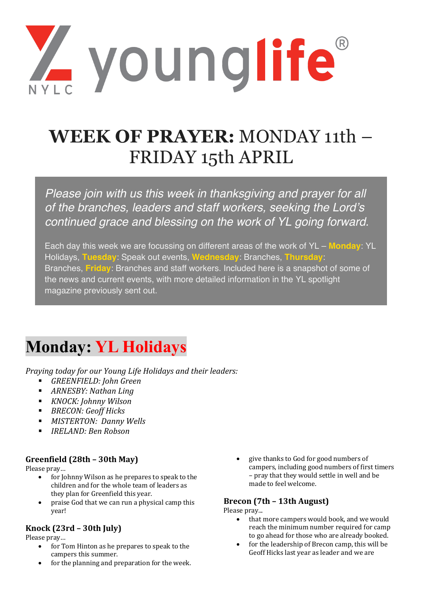Z younglife

# **WEEK OF PRAYER:** MONDAY 11th – FRIDAY 15th APRIL

*Please join with us this week in thanksgiving and prayer for all of the branches, leaders and staff workers, seeking the Lord's continued grace and blessing on the work of YL going forward.*

Each day this week we are focussing on different areas of the work of YL – **Monday**: YL Holidays, **Tuesday**: Speak out events, **Wednesday**: Branches, **Thursday**: Branches, **Friday**: Branches and staff workers. Included here is a snapshot of some of the news and current events, with more detailed information in the YL spotlight magazine previously sent out.

# **Monday: YL Holidays**

*Praying today for our Young Life Holidays and their leaders:* 

- *GREENFIELD: John Green*
- **•** *ARNESBY: Nathan Ling*
- *KNOCK: Johnny Wilson*
- *BRECON: Geoff Hicks*
- **■** *MISTERTON: Danny Wells*
- *IRELAND: Ben Robson*

# **Greenfield (28th – 30th May)**

Please pray...

- for Johnny Wilson as he prepares to speak to the children and for the whole team of leaders as they plan for Greenfield this year.
- praise God that we can run a physical camp this year!

# **Knock (23rd – 30th July)**

Please pray...

- for Tom Hinton as he prepares to speak to the campers this summer.
- for the planning and preparation for the week.

• give thanks to God for good numbers of campers, including good numbers of first timers – pray that they would settle in well and be made to feel welcome.

# **Brecon (7th – 13th August)**

Please pray...

- that more campers would book, and we would reach the minimum number required for camp to go ahead for those who are already booked.
- for the leadership of Brecon camp, this will be Geoff Hicks last year as leader and we are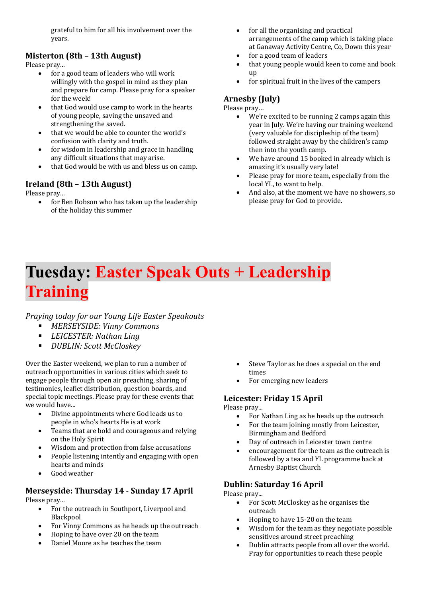grateful to him for all his involvement over the years.

# **Misterton** (8th – 13th August)

Please pray...

- for a good team of leaders who will work willingly with the gospel in mind as they plan and prepare for camp. Please pray for a speaker for the week!
- that God would use camp to work in the hearts of young people, saving the unsaved and strengthening the saved.
- that we would be able to counter the world's confusion with clarity and truth.
- for wisdom in leadership and grace in handling any difficult situations that may arise.
- that God would be with us and bless us on camp.

# **Ireland (8th – 13th August)**

Please pray...

for Ben Robson who has taken up the leadership of the holiday this summer

- $\bullet$  for all the organising and practical arrangements of the camp which is taking place at Ganaway Activity Centre, Co, Down this year
- for a good team of leaders
- that young people would keen to come and book up
- for spiritual fruit in the lives of the campers

## **Arnesby (July)**

Please pray...

- We're excited to be running 2 camps again this year in July. We're having our training weekend (very valuable for discipleship of the team) followed straight away by the children's camp then into the youth camp.
- We have around 15 booked in already which is amazing it's usually very late!
- Please pray for more team, especially from the local YL, to want to help.
- And also, at the moment we have no showers, so please pray for God to provide.

# **Tuesday: Easter Speak Outs + Leadership Training**

*Praying today for our Young Life Easter Speakouts* 

- § *MERSEYSIDE: Vinny Commons*
- *LEICESTER: Nathan Ling*
- *DUBLIN: Scott McCloskey*

Over the Easter weekend, we plan to run a number of outreach opportunities in various cities which seek to engage people through open air preaching, sharing of testimonies, leaflet distribution, question boards, and special topic meetings. Please pray for these events that we would have...

- Divine appointments where God leads us to people in who's hearts He is at work
- Teams that are bold and courageous and relying on the Holy Spirit
- Wisdom and protection from false accusations
- People listening intently and engaging with open hearts and minds
- Good weather

#### **Merseyside: Thursday 14 - Sunday 17 April** Please pray...

- For the outreach in Southport, Liverpool and Blackpool
- For Vinny Commons as he heads up the outreach
- Hoping to have over 20 on the team
- Daniel Moore as he teaches the team
- Steve Taylor as he does a special on the end times
- For emerging new leaders

### Leicester: Friday 15 April

Please pray...

- For Nathan Ling as he heads up the outreach
- For the team joining mostly from Leicester, Birmingham and Bedford
- Day of outreach in Leicester town centre
- encouragement for the team as the outreach is followed by a tea and YL programme back at Arnesby Baptist Church

### **Dublin: Saturday 16 April**

Please pray...

- For Scott McCloskey as he organises the outreach
- Hoping to have 15-20 on the team
- Wisdom for the team as they negotiate possible sensitives around street preaching
- Dublin attracts people from all over the world. Pray for opportunities to reach these people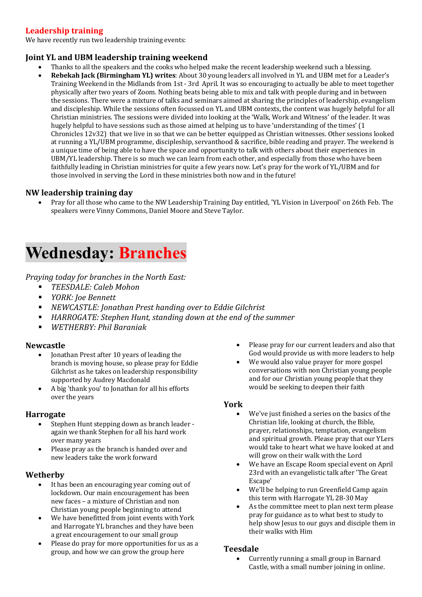# **Leadership training**

We have recently run two leadership training events:

### **Joint YL and UBM leadership training weekend**

- Thanks to all the speakers and the cooks who helped make the recent leadership weekend such a blessing.
- **Rebekah Jack (Birmingham YL) writes**: About 30 young leaders all involved in YL and UBM met for a Leader's Training Weekend in the Midlands from 1st - 3rd April. It was so encouraging to actually be able to meet together physically after two years of Zoom. Nothing beats being able to mix and talk with people during and in between the sessions. There were a mixture of talks and seminars aimed at sharing the principles of leadership, evangelism and discipleship. While the sessions often focussed on YL and UBM contexts, the content was hugely helpful for all Christian ministries. The sessions were divided into looking at the 'Walk, Work and Witness' of the leader. It was hugely helpful to have sessions such as those aimed at helping us to have 'understanding of the times' (1) Chronicles 12v32) that we live in so that we can be better equipped as Christian witnesses. Other sessions looked at running a YL/UBM programme, discipleship, servanthood & sacrifice, bible reading and prayer. The weekend is a unique time of being able to have the space and opportunity to talk with others about their experiences in UBM/YL leadership. There is so much we can learn from each other, and especially from those who have been faithfully leading in Christian ministries for quite a few years now. Let's pray for the work of YL/UBM and for those involved in serving the Lord in these ministries both now and in the future!

### **NW leadership training day**

Pray for all those who came to the NW Leadership Training Day entitled, 'YL Vision in Liverpool' on 26th Feb. The speakers were Vinny Commons, Daniel Moore and Steve Taylor.

# **Wednesday: Branches**

*Praying today for branches in the North East:* 

- § *TEESDALE: Caleb Mohon*
- *YORK: Joe Bennett*
- § *NEWCASTLE: Jonathan Prest handing over to Eddie Gilchrist*
- *HARROGATE:* Stephen Hunt, standing down at the end of the summer
- § *WETHERBY: Phil Baraniak*

### **Newcastle**

- Jonathan Prest after 10 years of leading the branch is moving house, so please pray for Eddie Gilchrist as he takes on leadership responsibility supported by Audrey Macdonald
- A big 'thank you' to Jonathan for all his efforts over the years

#### **Harrogate**

- Stephen Hunt stepping down as branch leader again we thank Stephen for all his hard work over many years
- Please pray as the branch is handed over and new leaders take the work forward

### **Wetherby**

- It has been an encouraging year coming out of lockdown. Our main encouragement has been new faces - a mixture of Christian and non Christian young people beginning to attend
- We have benefitted from joint events with York and Harrogate YL branches and they have been a great encouragement to our small group
- Please do pray for more opportunities for us as a group, and how we can grow the group here
- Please pray for our current leaders and also that God would provide us with more leaders to help
- We would also value prayer for more gospel conversations with non Christian voung people and for our Christian young people that they would be seeking to deepen their faith

### **York**

- We've just finished a series on the basics of the Christian life, looking at church, the Bible, prayer, relationships, temptation, evangelism and spiritual growth. Please pray that our YLers would take to heart what we have looked at and will grow on their walk with the Lord
- We have an Escape Room special event on April 23rd with an evangelistic talk after 'The Great Escape'
- We'll be helping to run Greenfield Camp again this term with Harrogate YL 28-30 May
- As the committee meet to plan next term please pray for guidance as to what best to study to help show Jesus to our guys and disciple them in their walks with Him

#### **Teesdale**

• Currently running a small group in Barnard Castle, with a small number joining in online.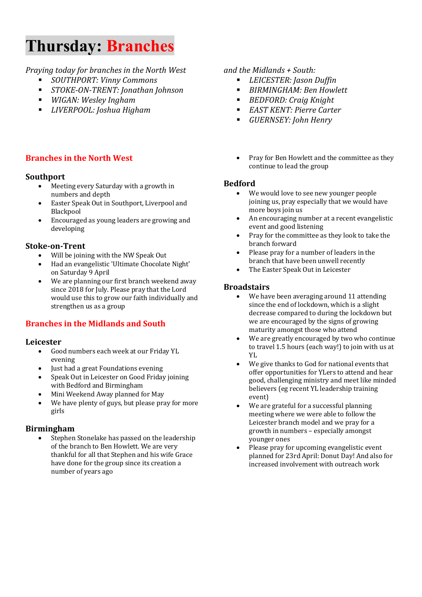# **Thursday: Branches**

# *Praying today for branches in the North West*

- § *SOUTHPORT: Vinny Commons*
- § *STOKE-ON-TRENT: Jonathan Johnson*
- *WIGAN: Wesley Ingham*
- § *LIVERPOOL: Joshua Higham*

# **Branches in the North West**

# **Southport**

- Meeting every Saturday with a growth in numbers and depth
- Easter Speak Out in Southport, Liverpool and **Blackpool**
- Encouraged as young leaders are growing and developing

# **Stoke-on-Trent**

- Will be joining with the NW Speak Out
- Had an evangelistic 'Ultimate Chocolate Night' on Saturday 9 April
- We are planning our first branch weekend away since 2018 for July. Please pray that the Lord would use this to grow our faith individually and strengthen us as a group

# **Branches in the Midlands and South**

# **Leicester**

- Good numbers each week at our Friday YL evening
- Just had a great Foundations evening
- Speak Out in Leicester on Good Friday joining with Bedford and Birmingham
- Mini Weekend Away planned for May
- We have plenty of guys, but please pray for more girls

# **Birmingham**

Stephen Stonelake has passed on the leadership of the branch to Ben Howlett. We are very thankful for all that Stephen and his wife Grace have done for the group since its creation a number of years ago

# *and the Midlands + South:*

- *LEICESTER: Jason Duffin*
- *BIRMINGHAM: Ben Howlett*
- *BEDFORD: Craig Knight*
- *EAST KENT: Pierre Carter*
- *GUERNSEY: John Henry*
- Pray for Ben Howlett and the committee as they continue to lead the group

### **Bedford**

- We would love to see new younger people ioining us, pray especially that we would have more boys join us
- An encouraging number at a recent evangelistic event and good listening
- Pray for the committee as they look to take the branch forward
- Please pray for a number of leaders in the branch that have been unwell recently
- The Easter Speak Out in Leicester

### **Broadstairs**

- We have been averaging around 11 attending since the end of lockdown, which is a slight decrease compared to during the lockdown but we are encouraged by the signs of growing maturity amongst those who attend
- We are greatly encouraged by two who continue to travel 1.5 hours (each way!) to join with us at YL
- We give thanks to God for national events that offer opportunities for YLers to attend and hear good, challenging ministry and meet like minded believers (eg recent YL leadership training event)
- We are grateful for a successful planning meeting where we were able to follow the Leicester branch model and we pray for a growth in numbers - especially amongst younger ones
- Please pray for upcoming evangelistic event planned for 23rd April: Donut Day! And also for increased involvement with outreach work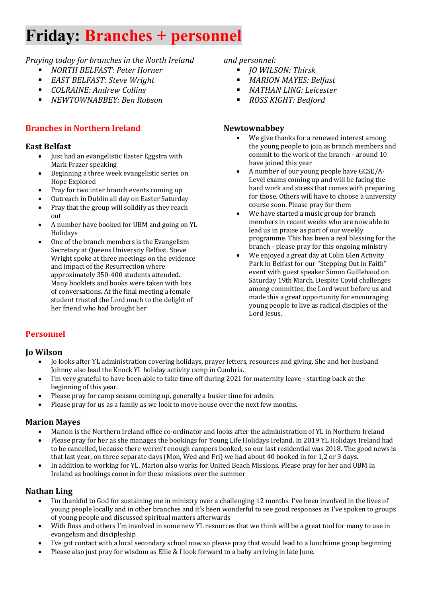# **Friday: Branches + personnel**

# *Praying today for branches in the North Ireland*

- § *NORTH BELFAST: Peter Horner*
- *EAST BELFAST: Steve Wright*
- § *COLRAINE: Andrew Collins*
- § *NEWTOWNABBEY: Ben Robson*

# **Branches in Northern Ireland**

#### **East Belfast**

- Just had an evangelistic Easter Eggstra with Mark Frazer speaking
- Beginning a three week evangelistic series on Hope Explored
- Pray for two inter branch events coming up
- Outreach in Dublin all day on Easter Saturday
- Pray that the group will solidify as they reach out
- A number have booked for UBM and going on YL Holidays
- One of the branch members is the Evangelism Secretary at Queens University Belfast. Steve Wright spoke at three meetings on the evidence and impact of the Resurrection where approximately 350-400 students attended. Many booklets and books were taken with lots of conversations. At the final meeting a female student trusted the Lord much to the delight of her friend who had brought her

#### *and personnel:*

- § *JO WILSON: Thirsk*
- § *MARION MAYES: Belfast*
- § *NATHAN LING: Leicester*
- *ROSS KIGHT: Bedford*

### **Newtownabbey**

- We give thanks for a renewed interest among the young people to join as branch members and commit to the work of the branch - around 10 have joined this year
- A number of our young people have GCSE/A-Level exams coming up and will be facing the hard work and stress that comes with preparing for those. Others will have to choose a university course soon. Please pray for them
- We have started a music group for branch members in recent weeks who are now able to lead us in praise as part of our weekly programme. This has been a real blessing for the branch - please pray for this ongoing ministry
- We enjoyed a great day at Colin Glen Activity Park in Belfast for our "Stepping Out in Faith" event with guest speaker Simon Guillebaud on Saturday 19th March. Despite Covid challenges among committee, the Lord went before us and made this a great opportunity for encouraging young people to live as radical disciples of the Lord Jesus.

# **Personnel**

### **Jo Wilson**

- Io looks after YL administration covering holidays, prayer letters, resources and giving. She and her husband Johnny also lead the Knock YL holiday activity camp in Cumbria.
- I'm very grateful to have been able to take time off during 2021 for maternity leave starting back at the beginning of this year.
- Please pray for camp season coming up, generally a busier time for admin.
- Please pray for us as a family as we look to move house over the next few months.

#### **Marion Mayes**

- Marion is the Northern Ireland office co-ordinator and looks after the administration of YL in Northern Ireland
- Please pray for her as she manages the bookings for Young Life Holidays Ireland. In 2019 YL Holidays Ireland had to be cancelled, because there weren't enough campers booked, so our last residential was 2018. The good news is that last year, on three separate days (Mon, Wed and Fri) we had about 40 booked in for 1,2 or 3 days.
- In addition to working for YL, Marion also works for United Beach Missions. Please pray for her and UBM in Ireland as bookings come in for these missions over the summer

### **Nathan Ling**

- I'm thankful to God for sustaining me in ministry over a challenging 12 months. I've been involved in the lives of young people locally and in other branches and it's been wonderful to see good responses as I've spoken to groups of young people and discussed spiritual matters afterwards
- With Ross and others I'm involved in some new YL resources that we think will be a great tool for many to use in evangelism and discipleship
- I've got contact with a local secondary school now so please pray that would lead to a lunchtime group beginning
- Please also just pray for wisdom as Ellie & I look forward to a baby arriving in late June.